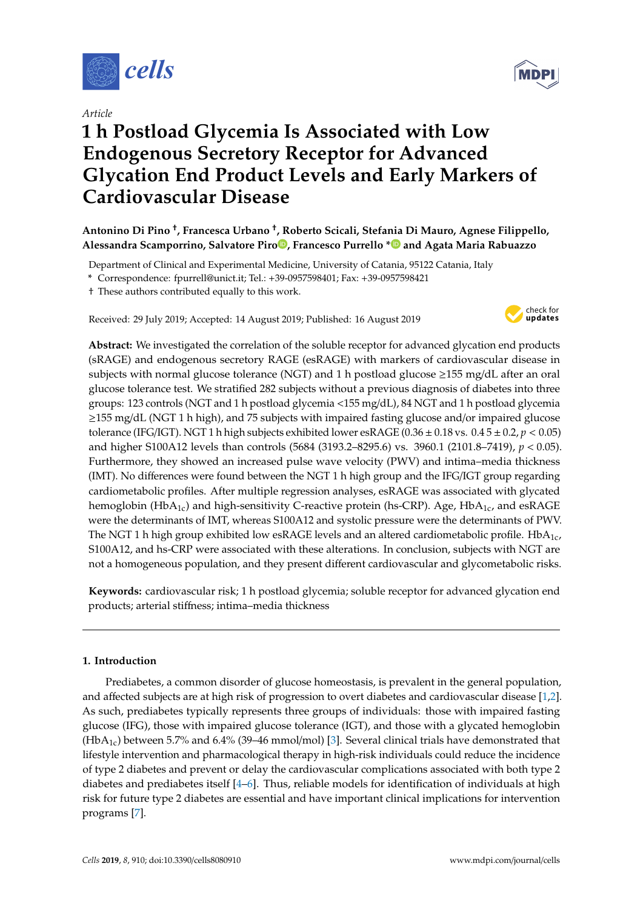

*Article*

# **1 h Postload Glycemia Is Associated with Low Endogenous Secretory Receptor for Advanced Glycation End Product Levels and Early Markers of Cardiovascular Disease**

## **Antonino Di Pino** † **, Francesca Urbano** † **, Roberto Scicali, Stefania Di Mauro, Agnese Filippello, Alessandra Scamporrino, Salvatore Pir[o](https://orcid.org/0000-0002-1781-0902) , Francesco Purrello [\\*](https://orcid.org/0000-0003-3313-8543) and Agata Maria Rabuazzo**

Department of Clinical and Experimental Medicine, University of Catania, 95122 Catania, Italy

**\*** Correspondence: fpurrell@unict.it; Tel.: +39-0957598401; Fax: +39-0957598421

† These authors contributed equally to this work.

Received: 29 July 2019; Accepted: 14 August 2019; Published: 16 August 2019



**Abstract:** We investigated the correlation of the soluble receptor for advanced glycation end products (sRAGE) and endogenous secretory RAGE (esRAGE) with markers of cardiovascular disease in subjects with normal glucose tolerance (NGT) and 1 h postload glucose  $\geq$ 155 mg/dL after an oral glucose tolerance test. We stratified 282 subjects without a previous diagnosis of diabetes into three groups: 123 controls (NGT and 1 h postload glycemia <155 mg/dL), 84 NGT and 1 h postload glycemia ≥155 mg/dL (NGT 1 h high), and 75 subjects with impaired fasting glucose and/or impaired glucose tolerance (IFG/IGT). NGT 1 h high subjects exhibited lower esRAGE ( $0.36 \pm 0.18$  vs.  $0.45 \pm 0.2$ ,  $p < 0.05$ ) and higher S100A12 levels than controls (5684 (3193.2–8295.6) vs. 3960.1 (2101.8–7419), *p* < 0.05). Furthermore, they showed an increased pulse wave velocity (PWV) and intima–media thickness (IMT). No differences were found between the NGT 1 h high group and the IFG/IGT group regarding cardiometabolic profiles. After multiple regression analyses, esRAGE was associated with glycated hemoglobin (HbA<sub>1c</sub>) and high-sensitivity C-reactive protein (hs-CRP). Age, HbA<sub>1c</sub>, and esRAGE were the determinants of IMT, whereas S100A12 and systolic pressure were the determinants of PWV. The NGT 1 h high group exhibited low esRAGE levels and an altered cardiometabolic profile. HbA<sub>1c</sub>, S100A12, and hs-CRP were associated with these alterations. In conclusion, subjects with NGT are not a homogeneous population, and they present different cardiovascular and glycometabolic risks.

**Keywords:** cardiovascular risk; 1 h postload glycemia; soluble receptor for advanced glycation end products; arterial stiffness; intima–media thickness

## **1. Introduction**

Prediabetes, a common disorder of glucose homeostasis, is prevalent in the general population, and affected subjects are at high risk of progression to overt diabetes and cardiovascular disease [\[1,](#page-7-0)[2\]](#page-7-1). As such, prediabetes typically represents three groups of individuals: those with impaired fasting glucose (IFG), those with impaired glucose tolerance (IGT), and those with a glycated hemoglobin (HbA<sub>1c</sub>) between 5.7% and 6.4% (39–46 mmol/mol) [\[3\]](#page-7-2). Several clinical trials have demonstrated that lifestyle intervention and pharmacological therapy in high-risk individuals could reduce the incidence of type 2 diabetes and prevent or delay the cardiovascular complications associated with both type 2 diabetes and prediabetes itself [\[4](#page-7-3)[–6\]](#page-7-4). Thus, reliable models for identification of individuals at high risk for future type 2 diabetes are essential and have important clinical implications for intervention programs [\[7\]](#page-7-5).

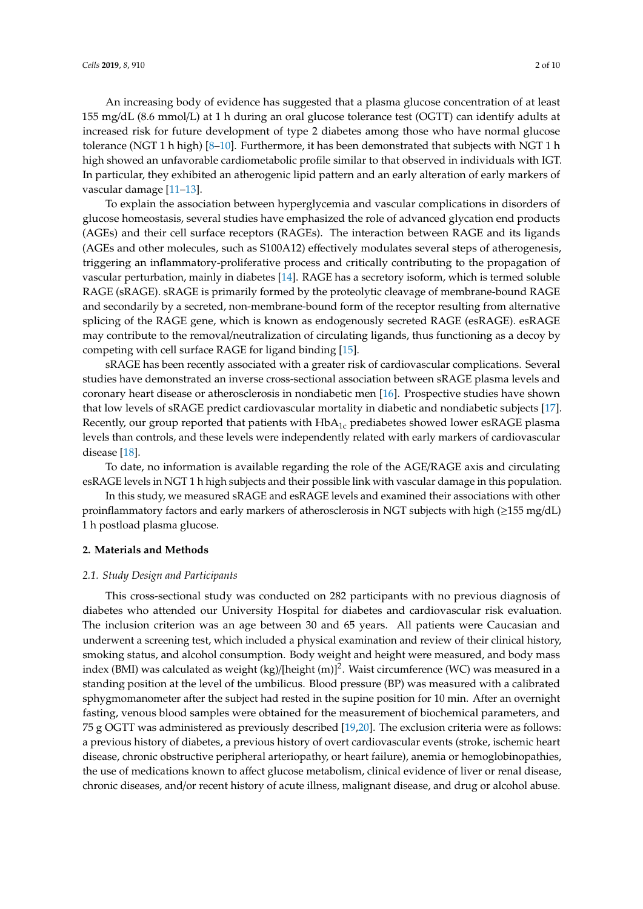An increasing body of evidence has suggested that a plasma glucose concentration of at least 155 mg/dL (8.6 mmol/L) at 1 h during an oral glucose tolerance test (OGTT) can identify adults at increased risk for future development of type 2 diabetes among those who have normal glucose tolerance (NGT 1 h high) [\[8–](#page-7-6)[10\]](#page-7-7). Furthermore, it has been demonstrated that subjects with NGT 1 h high showed an unfavorable cardiometabolic profile similar to that observed in individuals with IGT. In particular, they exhibited an atherogenic lipid pattern and an early alteration of early markers of vascular damage [\[11–](#page-7-8)[13\]](#page-8-0).

To explain the association between hyperglycemia and vascular complications in disorders of glucose homeostasis, several studies have emphasized the role of advanced glycation end products (AGEs) and their cell surface receptors (RAGEs). The interaction between RAGE and its ligands (AGEs and other molecules, such as S100A12) effectively modulates several steps of atherogenesis, triggering an inflammatory-proliferative process and critically contributing to the propagation of vascular perturbation, mainly in diabetes [\[14\]](#page-8-1). RAGE has a secretory isoform, which is termed soluble RAGE (sRAGE). sRAGE is primarily formed by the proteolytic cleavage of membrane-bound RAGE and secondarily by a secreted, non-membrane-bound form of the receptor resulting from alternative splicing of the RAGE gene, which is known as endogenously secreted RAGE (esRAGE). esRAGE may contribute to the removal/neutralization of circulating ligands, thus functioning as a decoy by competing with cell surface RAGE for ligand binding [\[15\]](#page-8-2).

sRAGE has been recently associated with a greater risk of cardiovascular complications. Several studies have demonstrated an inverse cross-sectional association between sRAGE plasma levels and coronary heart disease or atherosclerosis in nondiabetic men [\[16\]](#page-8-3). Prospective studies have shown that low levels of sRAGE predict cardiovascular mortality in diabetic and nondiabetic subjects [\[17\]](#page-8-4). Recently, our group reported that patients with  $HbA<sub>1c</sub>$  prediabetes showed lower esRAGE plasma levels than controls, and these levels were independently related with early markers of cardiovascular disease [\[18\]](#page-8-5).

To date, no information is available regarding the role of the AGE/RAGE axis and circulating esRAGE levels in NGT 1 h high subjects and their possible link with vascular damage in this population.

In this study, we measured sRAGE and esRAGE levels and examined their associations with other proinflammatory factors and early markers of atherosclerosis in NGT subjects with high (≥155 mg/dL) 1 h postload plasma glucose.

## **2. Materials and Methods**

#### *2.1. Study Design and Participants*

This cross-sectional study was conducted on 282 participants with no previous diagnosis of diabetes who attended our University Hospital for diabetes and cardiovascular risk evaluation. The inclusion criterion was an age between 30 and 65 years. All patients were Caucasian and underwent a screening test, which included a physical examination and review of their clinical history, smoking status, and alcohol consumption. Body weight and height were measured, and body mass index (BMI) was calculated as weight (kg)/[height (m)]<sup>2</sup>. Waist circumference (WC) was measured in a standing position at the level of the umbilicus. Blood pressure (BP) was measured with a calibrated sphygmomanometer after the subject had rested in the supine position for 10 min. After an overnight fasting, venous blood samples were obtained for the measurement of biochemical parameters, and 75 g OGTT was administered as previously described [\[19](#page-8-6)[,20\]](#page-8-7). The exclusion criteria were as follows: a previous history of diabetes, a previous history of overt cardiovascular events (stroke, ischemic heart disease, chronic obstructive peripheral arteriopathy, or heart failure), anemia or hemoglobinopathies, the use of medications known to affect glucose metabolism, clinical evidence of liver or renal disease, chronic diseases, and/or recent history of acute illness, malignant disease, and drug or alcohol abuse.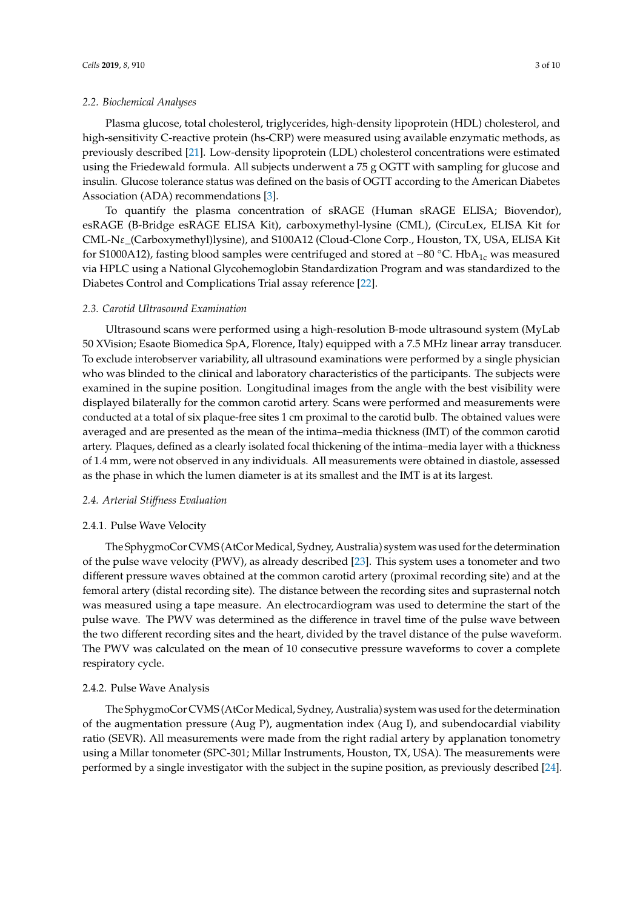Plasma glucose, total cholesterol, triglycerides, high-density lipoprotein (HDL) cholesterol, and high-sensitivity C-reactive protein (hs-CRP) were measured using available enzymatic methods, as previously described [\[21\]](#page-8-8). Low-density lipoprotein (LDL) cholesterol concentrations were estimated using the Friedewald formula. All subjects underwent a 75 g OGTT with sampling for glucose and insulin. Glucose tolerance status was defined on the basis of OGTT according to the American Diabetes Association (ADA) recommendations [\[3\]](#page-7-2).

To quantify the plasma concentration of sRAGE (Human sRAGE ELISA; Biovendor), esRAGE (B-Bridge esRAGE ELISA Kit), carboxymethyl-lysine (CML), (CircuLex, ELISA Kit for CML-Nε\_(Carboxymethyl)lysine), and S100A12 (Cloud-Clone Corp., Houston, TX, USA, ELISA Kit for S1000A12), fasting blood samples were centrifuged and stored at −80 °C. HbA<sub>1c</sub> was measured via HPLC using a National Glycohemoglobin Standardization Program and was standardized to the Diabetes Control and Complications Trial assay reference [\[22\]](#page-8-9).

#### *2.3. Carotid Ultrasound Examination*

Ultrasound scans were performed using a high-resolution B-mode ultrasound system (MyLab 50 XVision; Esaote Biomedica SpA, Florence, Italy) equipped with a 7.5 MHz linear array transducer. To exclude interobserver variability, all ultrasound examinations were performed by a single physician who was blinded to the clinical and laboratory characteristics of the participants. The subjects were examined in the supine position. Longitudinal images from the angle with the best visibility were displayed bilaterally for the common carotid artery. Scans were performed and measurements were conducted at a total of six plaque-free sites 1 cm proximal to the carotid bulb. The obtained values were averaged and are presented as the mean of the intima–media thickness (IMT) of the common carotid artery. Plaques, defined as a clearly isolated focal thickening of the intima–media layer with a thickness of 1.4 mm, were not observed in any individuals. All measurements were obtained in diastole, assessed as the phase in which the lumen diameter is at its smallest and the IMT is at its largest.

#### *2.4. Arterial Sti*ff*ness Evaluation*

#### 2.4.1. Pulse Wave Velocity

The SphygmoCor CVMS (AtCor Medical, Sydney, Australia) system was used for the determination of the pulse wave velocity (PWV), as already described [\[23\]](#page-8-10). This system uses a tonometer and two different pressure waves obtained at the common carotid artery (proximal recording site) and at the femoral artery (distal recording site). The distance between the recording sites and suprasternal notch was measured using a tape measure. An electrocardiogram was used to determine the start of the pulse wave. The PWV was determined as the difference in travel time of the pulse wave between the two different recording sites and the heart, divided by the travel distance of the pulse waveform. The PWV was calculated on the mean of 10 consecutive pressure waveforms to cover a complete respiratory cycle.

#### 2.4.2. Pulse Wave Analysis

The SphygmoCor CVMS (AtCor Medical, Sydney, Australia) system was used for the determination of the augmentation pressure (Aug P), augmentation index (Aug I), and subendocardial viability ratio (SEVR). All measurements were made from the right radial artery by applanation tonometry using a Millar tonometer (SPC-301; Millar Instruments, Houston, TX, USA). The measurements were performed by a single investigator with the subject in the supine position, as previously described [\[24\]](#page-8-11).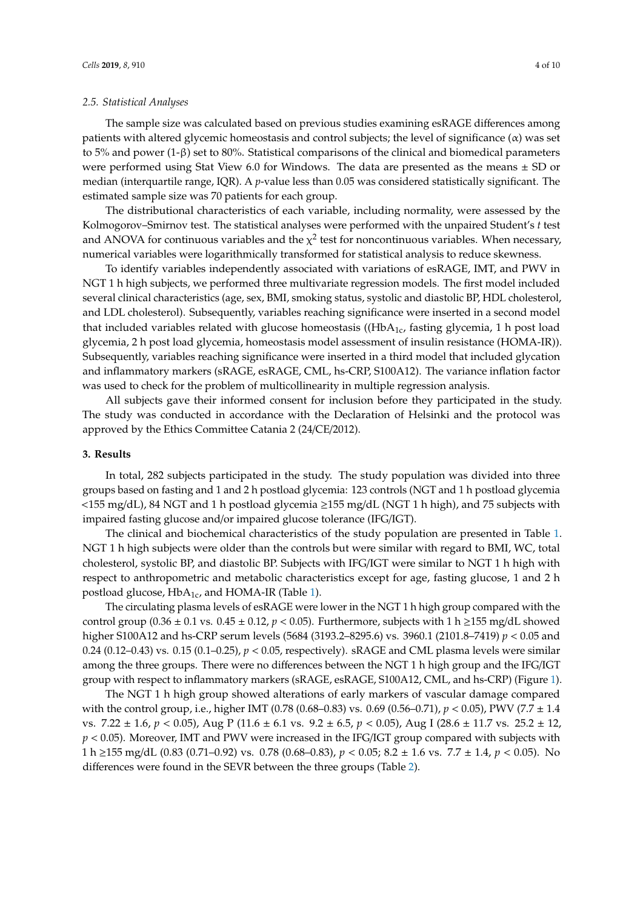#### *2.5. Statistical Analyses*

The sample size was calculated based on previous studies examining esRAGE differences among patients with altered glycemic homeostasis and control subjects; the level of significance (α) was set to 5% and power (1-β) set to 80%. Statistical comparisons of the clinical and biomedical parameters were performed using Stat View 6.0 for Windows. The data are presented as the means  $\pm$  SD or median (interquartile range, IQR). A *p*-value less than 0.05 was considered statistically significant. The estimated sample size was 70 patients for each group.

The distributional characteristics of each variable, including normality, were assessed by the Kolmogorov–Smirnov test. The statistical analyses were performed with the unpaired Student's *t* test and ANOVA for continuous variables and the  $\chi^2$  test for noncontinuous variables. When necessary, numerical variables were logarithmically transformed for statistical analysis to reduce skewness.

To identify variables independently associated with variations of esRAGE, IMT, and PWV in NGT 1 h high subjects, we performed three multivariate regression models. The first model included several clinical characteristics (age, sex, BMI, smoking status, systolic and diastolic BP, HDL cholesterol, and LDL cholesterol). Subsequently, variables reaching significance were inserted in a second model that included variables related with glucose homeostasis ( $(HbA<sub>1c</sub>,$  fasting glycemia, 1 h post load glycemia, 2 h post load glycemia, homeostasis model assessment of insulin resistance (HOMA-IR)). Subsequently, variables reaching significance were inserted in a third model that included glycation and inflammatory markers (sRAGE, esRAGE, CML, hs-CRP, S100A12). The variance inflation factor was used to check for the problem of multicollinearity in multiple regression analysis.

All subjects gave their informed consent for inclusion before they participated in the study. The study was conducted in accordance with the Declaration of Helsinki and the protocol was approved by the Ethics Committee Catania 2 (24/CE/2012).

#### **3. Results**

In total, 282 subjects participated in the study. The study population was divided into three groups based on fasting and 1 and 2 h postload glycemia: 123 controls (NGT and 1 h postload glycemia  $\langle$  <155 mg/dL), 84 NGT and 1 h postload glycemia  $\geq$ 155 mg/dL (NGT 1 h high), and 75 subjects with impaired fasting glucose and/or impaired glucose tolerance (IFG/IGT).

The clinical and biochemical characteristics of the study population are presented in Table [1.](#page-4-0) NGT 1 h high subjects were older than the controls but were similar with regard to BMI, WC, total cholesterol, systolic BP, and diastolic BP. Subjects with IFG/IGT were similar to NGT 1 h high with respect to anthropometric and metabolic characteristics except for age, fasting glucose, 1 and 2 h postload glucose,  $HbA_{1c}$ , and HOMA-IR (Table [1\)](#page-4-0).

The circulating plasma levels of esRAGE were lower in the NGT 1 h high group compared with the control group (0.36  $\pm$  0.1 vs. 0.45  $\pm$  0.12, *p* < 0.05). Furthermore, subjects with 1 h  $\geq$ 155 mg/dL showed higher S100A12 and hs-CRP serum levels (5684 (3193.2–8295.6) vs. 3960.1 (2101.8–7419) *p* < 0.05 and 0.24 (0.12–0.43) vs. 0.15 (0.1–0.25), *p* < 0.05, respectively). sRAGE and CML plasma levels were similar among the three groups. There were no differences between the NGT 1 h high group and the IFG/IGT group with respect to inflammatory markers (sRAGE, esRAGE, S100A12, CML, and hs-CRP) (Figure [1\)](#page-5-0).

The NGT 1 h high group showed alterations of early markers of vascular damage compared with the control group, i.e., higher IMT (0.78 (0.68–0.83) vs. 0.69 (0.56–0.71), *p* < 0.05), PWV (7.7 ± 1.4 vs. 7.22 ± 1.6, *p* < 0.05), Aug P (11.6 ± 6.1 vs. 9.2 ± 6.5, *p* < 0.05), Aug I (28.6 ± 11.7 vs. 25.2 ± 12, *p* < 0.05). Moreover, IMT and PWV were increased in the IFG/IGT group compared with subjects with 1 h ≥155 mg/dL (0.83 (0.71–0.92) vs. 0.78 (0.68–0.83), *p* < 0.05; 8.2 ± 1.6 vs. 7.7 ± 1.4, *p* < 0.05). No differences were found in the SEVR between the three groups (Table [2\)](#page-4-1).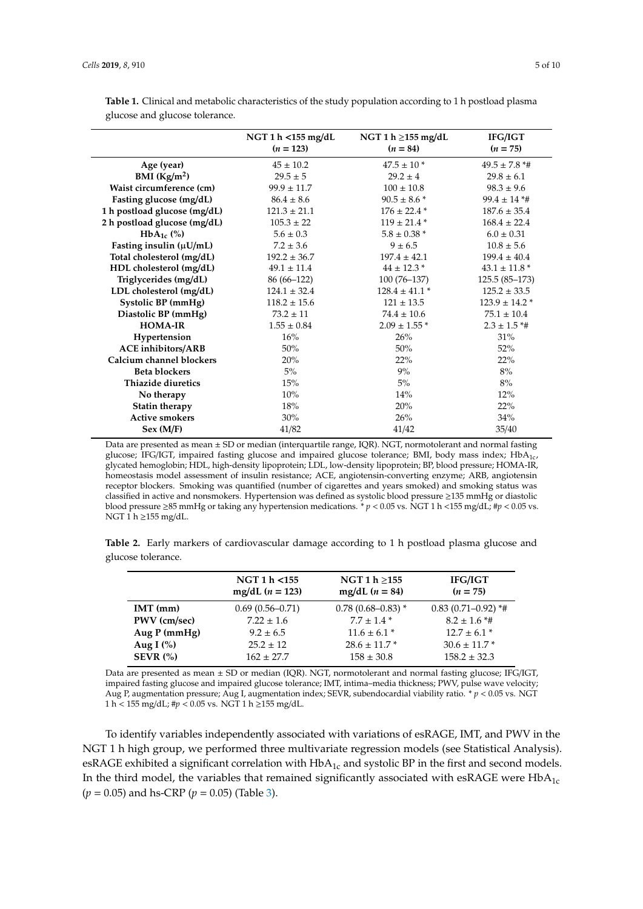|                              | NGT 1 h < 155 mg/dL<br>$(n = 123)$ | NGT 1 h $\geq$ 155 mg/dL<br>$(n = 84)$ | IFG/IGT<br>$(n = 75)$ |
|------------------------------|------------------------------------|----------------------------------------|-----------------------|
| Age (year)                   | $45 \pm 10.2$                      | $47.5 \pm 10$ *                        | $49.5 \pm 7.8$ *#     |
| BMI $(Kg/m2)$                | $29.5 \pm 5$                       | $29.2 \pm 4$                           | $29.8 \pm 6.1$        |
| Waist circumference (cm)     | $99.9 \pm 11.7$                    | $100 \pm 10.8$                         | $98.3 \pm 9.6$        |
| Fasting glucose (mg/dL)      | $86.4 \pm 8.6$                     | $90.5 \pm 8.6$ *                       | $99.4 \pm 14$ *#      |
| 1 h postload glucose (mg/dL) | $121.3 \pm 21.1$                   | $176 \pm 22.4$ *                       | $187.6 \pm 35.4$      |
| 2 h postload glucose (mg/dL) | $105.3 \pm 22$                     | $119 \pm 21.4$ *                       | $168.4 \pm 22.4$      |
| $HbA_{1c}$ (%)               | $5.6 \pm 0.3$                      | $5.8 \pm 0.38$ *                       | $6.0 \pm 0.31$        |
| Fasting insulin $(\mu U/mL)$ | $7.2 \pm 3.6$                      | $9 \pm 6.5$                            | $10.8 \pm 5.6$        |
| Total cholesterol (mg/dL)    | $192.2 \pm 36.7$                   | $197.4 \pm 42.1$                       | $199.4 \pm 40.4$      |
| HDL cholesterol (mg/dL)      | $49.1 \pm 11.4$                    | $44 \pm 12.3$ *                        | $43.1 \pm 11.8$ *     |
| Triglycerides (mg/dL)        | 86 (66–122)                        | $100(76-137)$                          | $125.5(85-173)$       |
| LDL cholesterol (mg/dL)      | $124.1 \pm 32.4$                   | $128.4 \pm 41.1*$                      | $125.2 \pm 33.5$      |
| Systolic BP (mmHg)           | $118.2 \pm 15.6$                   | $121 \pm 13.5$                         | $123.9 \pm 14.2$ *    |
| Diastolic BP (mmHg)          | $73.2 \pm 11$                      | $74.4 \pm 10.6$                        | $75.1 \pm 10.4$       |
| <b>HOMA-IR</b>               | $1.55 \pm 0.84$                    | $2.09 \pm 1.55$ *                      | $2.3 \pm 1.5$ *#      |
| Hypertension                 | 16%                                | 26%                                    | 31%                   |
| <b>ACE</b> inhibitors/ARB    | 50%                                | 50%                                    | 52%                   |
| Calcium channel blockers     | 20%                                | 22%                                    | 22%                   |
| <b>Beta blockers</b>         | $5\%$                              | 9%                                     | 8%                    |
| Thiazide diuretics           | 15%                                | 5%                                     | 8%                    |
| No therapy                   | 10%                                | 14%                                    | 12%                   |
| Statin therapy               | 18%                                | 20%                                    | 22%                   |
| <b>Active smokers</b>        | 30%                                | 26%                                    | 34%                   |
| Sex (M/F)                    | 41/82                              | 41/42                                  | 35/40                 |

<span id="page-4-0"></span>**Table 1.** Clinical and metabolic characteristics of the study population according to 1 h postload plasma glucose and glucose tolerance.

Data are presented as mean ± SD or median (interquartile range, IQR). NGT, normotolerant and normal fasting glucose; IFG/IGT, impaired fasting glucose and impaired glucose tolerance; BMI, body mass index; HbA<sub>1c</sub>, glycated hemoglobin; HDL, high-density lipoprotein; LDL, low-density lipoprotein; BP, blood pressure; HOMA-IR, homeostasis model assessment of insulin resistance; ACE, angiotensin-converting enzyme; ARB, angiotensin receptor blockers. Smoking was quantified (number of cigarettes and years smoked) and smoking status was classified in active and nonsmokers. Hypertension was defined as systolic blood pressure ≥135 mmHg or diastolic blood pressure ≥85 mmHg or taking any hypertension medications. \* *p* < 0.05 vs. NGT 1 h <155 mg/dL; #*p* < 0.05 vs. NGT 1 h ≥155 mg/dL.

<span id="page-4-1"></span>**Table 2.** Early markers of cardiovascular damage according to 1 h postload plasma glucose and glucose tolerance.

|              | NGT 1 h <155<br>mg/dL $(n = 123)$ | NGT 1 $h \ge 155$<br>mg/dL $(n = 84)$ | <b>IFG/IGT</b><br>$(n = 75)$ |
|--------------|-----------------------------------|---------------------------------------|------------------------------|
| $IMT$ (mm)   | $0.69(0.56 - 0.71)$               | $0.78(0.68 - 0.83)$ *                 | $0.83(0.71 - 0.92)$ *#       |
| PWV (cm/sec) | $7.22 \pm 1.6$                    | $7.7 + 1.4*$                          | $8.2 \pm 1.6$ *#             |
| Aug P (mmHg) | $9.2 \pm 6.5$                     | $11.6 \pm 6.1*$                       | $12.7 \pm 6.1$ *             |
| Aug I $(\%)$ | $25.2 \pm 12$                     | $28.6 \pm 11.7$ *                     | $30.6 \pm 11.7$ *            |
| SEVR $(%)$   | $162 \pm 27.7$                    | $158 \pm 30.8$                        | $158.2 \pm 32.3$             |

Data are presented as mean ± SD or median (IQR). NGT, normotolerant and normal fasting glucose; IFG/IGT, impaired fasting glucose and impaired glucose tolerance; IMT, intima–media thickness; PWV, pulse wave velocity; Aug P, augmentation pressure; Aug I, augmentation index; SEVR, subendocardial viability ratio. \* *p* < 0.05 vs. NGT 1 h < 155 mg/dL; #*p* < 0.05 vs. NGT 1 h ≥155 mg/dL.

To identify variables independently associated with variations of esRAGE, IMT, and PWV in the NGT 1 h high group, we performed three multivariate regression models (see Statistical Analysis). esRAGE exhibited a significant correlation with HbA<sub>1c</sub> and systolic BP in the first and second models. In the third model, the variables that remained significantly associated with esRAGE were  $HbA_{1c}$ (*p* = 0.05) and hs-CRP (*p* = 0.05) (Table [3\)](#page-5-1).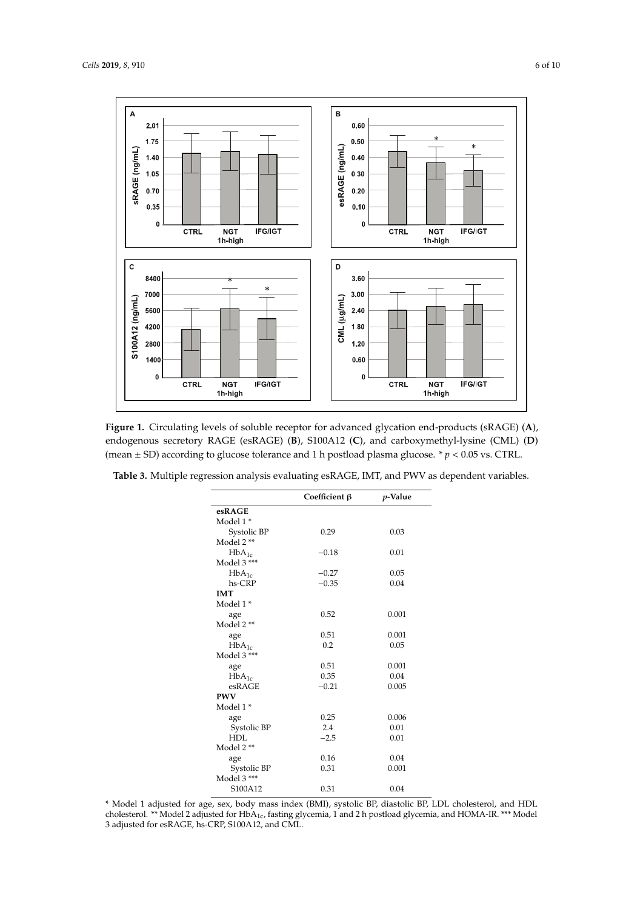

<span id="page-5-0"></span>

**Figure 1.** Circulating levels of soluble receptor for advanced glycation end-products (sRAGE) (**A**), **Figure 1.** Circulating levels of soluble receptor for advanced glycation end-products (sRAGE) (**A**), endogenous secretory RAGE (esRAGE) (**B**), S100A12 (**C**), and carboxymethyl-lysine (CML) (**D**) endogenous secretory RAGE (esRAGE) (**B**), S100A12 (**C**), and carboxymethyl-lysine (CML) (**D**) (mean ± SD) according to glucose tolerance and 1 h postload plasma glucose. \**p* < 0.05 vs. CTRL. (mean ± SD) according to glucose tolerance and 1 h postload plasma glucose. \* *p* < 0.05 vs. CTRL.

<span id="page-5-1"></span>

|  |  |  |  |  |  |  | Table 3. Multiple regression analysis evaluating esRAGE, IMT, and PWV as dependent variables. |
|--|--|--|--|--|--|--|-----------------------------------------------------------------------------------------------|
|--|--|--|--|--|--|--|-----------------------------------------------------------------------------------------------|

|             | Coefficient $\beta$ | p-Value |
|-------------|---------------------|---------|
| esRAGE      |                     |         |
| Model 1*    |                     |         |
| Systolic BP | 0.29                | 0.03    |
| Model 2 **  |                     |         |
| $HbA_{1c}$  | $-0.18$             | 0.01    |
| Model 3 *** |                     |         |
| $HbA_{1c}$  | $-0.27$             | 0.05    |
| hs-CRP      | $-0.35$             | 0.04    |
| <b>IMT</b>  |                     |         |
| Model 1*    |                     |         |
| age         | 0.52                | 0.001   |
| Model 2 **  |                     |         |
| age         | 0.51                | 0.001   |
| $HbA_{1c}$  | 0.2                 | 0.05    |
| Model 3 *** |                     |         |
| age         | 0.51                | 0.001   |
| $HbA_{1c}$  | 0.35                | 0.04    |
| esRAGE      | $-0.21$             | 0.005   |
| <b>PWV</b>  |                     |         |
| Model 1*    |                     |         |
| age         | 0.25                | 0.006   |
| Systolic BP | 2.4                 | 0.01    |
| <b>HDL</b>  | $-2.5$              | 0.01    |
| Model 2 **  |                     |         |
| age         | 0.16                | 0.04    |
| Systolic BP | 0.31                | 0.001   |
| Model 3 *** |                     |         |
| S100A12     | 0.31                | 0.04    |

\* Model 1 adjusted for age, sex, body mass index (BMI), systolic BP, diastolic BP, LDL cholesterol, and HDL cholesterol. \*\* Model 2 adjusted for  $HbA_{1c}$ , fasting glycemia, 1 and 2 h postload glycemia, and HOMA-IR. \*\*\* Model 3 adjusted for esRAGE, hs-CRP, S100A12, and CML.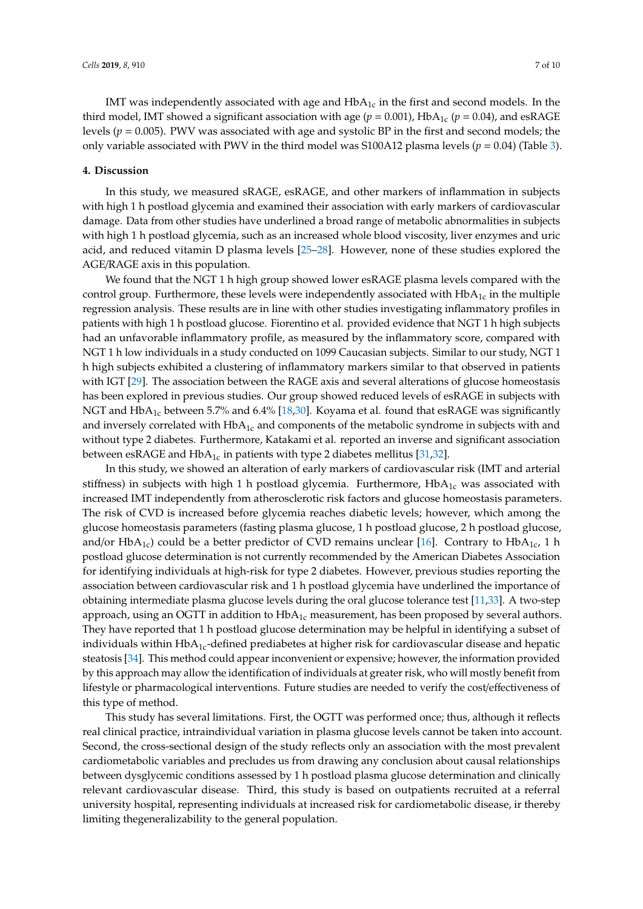IMT was independently associated with age and  $HbA<sub>1c</sub>$  in the first and second models. In the third model, IMT showed a significant association with age ( $p = 0.001$ ), HbA<sub>1c</sub> ( $p = 0.04$ ), and esRAGE levels (*p* = 0.005). PWV was associated with age and systolic BP in the first and second models; the only variable associated with PWV in the third model was S100A12 plasma levels ( $p = 0.04$ ) (Table [3\)](#page-5-1).

## **4. Discussion**

In this study, we measured sRAGE, esRAGE, and other markers of inflammation in subjects with high 1 h postload glycemia and examined their association with early markers of cardiovascular damage. Data from other studies have underlined a broad range of metabolic abnormalities in subjects with high 1 h postload glycemia, such as an increased whole blood viscosity, liver enzymes and uric acid, and reduced vitamin D plasma levels [\[25–](#page-8-12)[28\]](#page-8-13). However, none of these studies explored the AGE/RAGE axis in this population.

We found that the NGT 1 h high group showed lower esRAGE plasma levels compared with the control group. Furthermore, these levels were independently associated with  $HbA<sub>1c</sub>$  in the multiple regression analysis. These results are in line with other studies investigating inflammatory profiles in patients with high 1 h postload glucose. Fiorentino et al. provided evidence that NGT 1 h high subjects had an unfavorable inflammatory profile, as measured by the inflammatory score, compared with NGT 1 h low individuals in a study conducted on 1099 Caucasian subjects. Similar to our study, NGT 1 h high subjects exhibited a clustering of inflammatory markers similar to that observed in patients with IGT [\[29\]](#page-9-0). The association between the RAGE axis and several alterations of glucose homeostasis has been explored in previous studies. Our group showed reduced levels of esRAGE in subjects with NGT and  $HbA_{1c}$  between 5.7% and 6.4% [\[18](#page-8-5)[,30\]](#page-9-1). Koyama et al. found that esRAGE was significantly and inversely correlated with  $HbA<sub>1c</sub>$  and components of the metabolic syndrome in subjects with and without type 2 diabetes. Furthermore, Katakami et al. reported an inverse and significant association between esRAGE and  $HbA_{1c}$  in patients with type 2 diabetes mellitus [\[31](#page-9-2)[,32\]](#page-9-3).

In this study, we showed an alteration of early markers of cardiovascular risk (IMT and arterial stiffness) in subjects with high 1 h postload glycemia. Furthermore,  $HbA_{1c}$  was associated with increased IMT independently from atherosclerotic risk factors and glucose homeostasis parameters. The risk of CVD is increased before glycemia reaches diabetic levels; however, which among the glucose homeostasis parameters (fasting plasma glucose, 1 h postload glucose, 2 h postload glucose, and/or HbA<sub>1c</sub>) could be a better predictor of CVD remains unclear [\[16\]](#page-8-3). Contrary to HbA<sub>1c</sub>, 1 h postload glucose determination is not currently recommended by the American Diabetes Association for identifying individuals at high-risk for type 2 diabetes. However, previous studies reporting the association between cardiovascular risk and 1 h postload glycemia have underlined the importance of obtaining intermediate plasma glucose levels during the oral glucose tolerance test [\[11,](#page-7-8)[33\]](#page-9-4). A two-step approach, using an OGTT in addition to  $HbA_{1c}$  measurement, has been proposed by several authors. They have reported that 1 h postload glucose determination may be helpful in identifying a subset of individuals within  $HbA_{1c}$ -defined prediabetes at higher risk for cardiovascular disease and hepatic steatosis [\[34\]](#page-9-5). This method could appear inconvenient or expensive; however, the information provided by this approach may allow the identification of individuals at greater risk, who will mostly benefit from lifestyle or pharmacological interventions. Future studies are needed to verify the cost/effectiveness of this type of method.

This study has several limitations. First, the OGTT was performed once; thus, although it reflects real clinical practice, intraindividual variation in plasma glucose levels cannot be taken into account. Second, the cross-sectional design of the study reflects only an association with the most prevalent cardiometabolic variables and precludes us from drawing any conclusion about causal relationships between dysglycemic conditions assessed by 1 h postload plasma glucose determination and clinically relevant cardiovascular disease. Third, this study is based on outpatients recruited at a referral university hospital, representing individuals at increased risk for cardiometabolic disease, ir thereby limiting thegeneralizability to the general population.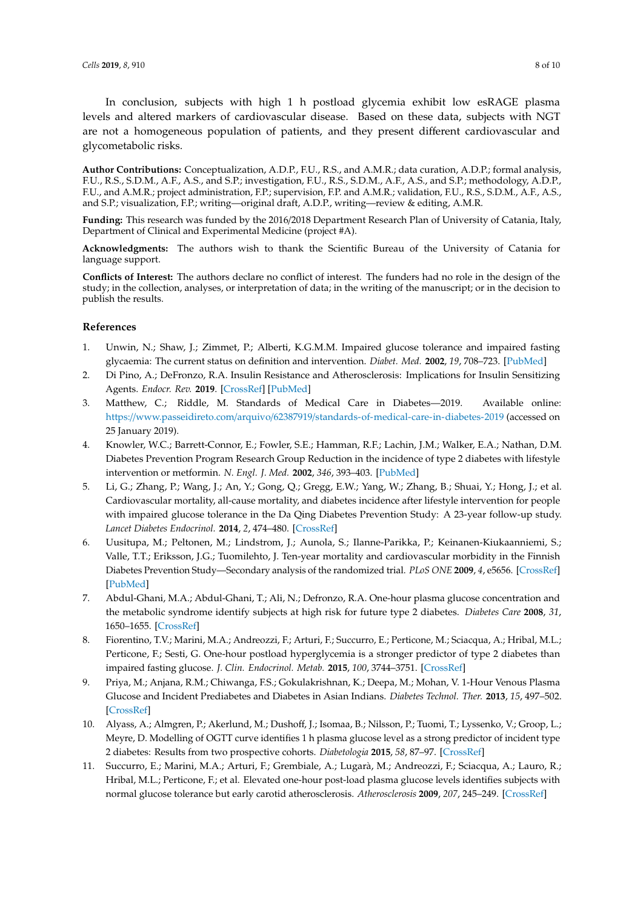In conclusion, subjects with high 1 h postload glycemia exhibit low esRAGE plasma levels and altered markers of cardiovascular disease. Based on these data, subjects with NGT are not a homogeneous population of patients, and they present different cardiovascular and glycometabolic risks.

**Author Contributions:** Conceptualization, A.D.P., F.U., R.S., and A.M.R.; data curation, A.D.P.; formal analysis, F.U., R.S., S.D.M., A.F., A.S., and S.P.; investigation, F.U., R.S., S.D.M., A.F., A.S., and S.P.; methodology, A.D.P., F.U., and A.M.R.; project administration, F.P.; supervision, F.P. and A.M.R.; validation, F.U., R.S., S.D.M., A.F., A.S., and S.P.; visualization, F.P.; writing—original draft, A.D.P., writing—review & editing, A.M.R.

**Funding:** This research was funded by the 2016/2018 Department Research Plan of University of Catania, Italy, Department of Clinical and Experimental Medicine (project #A).

**Acknowledgments:** The authors wish to thank the Scientific Bureau of the University of Catania for language support.

**Conflicts of Interest:** The authors declare no conflict of interest. The funders had no role in the design of the study; in the collection, analyses, or interpretation of data; in the writing of the manuscript; or in the decision to publish the results.

## **References**

- <span id="page-7-0"></span>1. Unwin, N.; Shaw, J.; Zimmet, P.; Alberti, K.G.M.M. Impaired glucose tolerance and impaired fasting glycaemia: The current status on definition and intervention. *Diabet. Med.* **2002**, *19*, 708–723. [\[PubMed\]](http://www.ncbi.nlm.nih.gov/pubmed/12207806)
- <span id="page-7-1"></span>2. Di Pino, A.; DeFronzo, R.A. Insulin Resistance and Atherosclerosis: Implications for Insulin Sensitizing Agents. *Endocr. Rev.* **2019**. [\[CrossRef\]](http://dx.doi.org/10.1210/er.2018-00141) [\[PubMed\]](http://www.ncbi.nlm.nih.gov/pubmed/31050706)
- <span id="page-7-2"></span>3. Matthew, C.; Riddle, M. Standards of Medical Care in Diabetes—2019. Available online: https://www.passeidireto.com/arquivo/62387919/[standards-of-medical-care-in-diabetes-2019](https://www.passeidireto.com/arquivo/62387919/standards-of-medical-care-in-diabetes-2019) (accessed on 25 January 2019).
- <span id="page-7-3"></span>4. Knowler, W.C.; Barrett-Connor, E.; Fowler, S.E.; Hamman, R.F.; Lachin, J.M.; Walker, E.A.; Nathan, D.M. Diabetes Prevention Program Research Group Reduction in the incidence of type 2 diabetes with lifestyle intervention or metformin. *N. Engl. J. Med.* **2002**, *346*, 393–403. [\[PubMed\]](http://www.ncbi.nlm.nih.gov/pubmed/11832527)
- 5. Li, G.; Zhang, P.; Wang, J.; An, Y.; Gong, Q.; Gregg, E.W.; Yang, W.; Zhang, B.; Shuai, Y.; Hong, J.; et al. Cardiovascular mortality, all-cause mortality, and diabetes incidence after lifestyle intervention for people with impaired glucose tolerance in the Da Qing Diabetes Prevention Study: A 23-year follow-up study. *Lancet Diabetes Endocrinol.* **2014**, *2*, 474–480. [\[CrossRef\]](http://dx.doi.org/10.1016/S2213-8587(14)70057-9)
- <span id="page-7-4"></span>6. Uusitupa, M.; Peltonen, M.; Lindstrom, J.; Aunola, S.; Ilanne-Parikka, P.; Keinanen-Kiukaanniemi, S.; Valle, T.T.; Eriksson, J.G.; Tuomilehto, J. Ten-year mortality and cardiovascular morbidity in the Finnish Diabetes Prevention Study—Secondary analysis of the randomized trial. *PLoS ONE* **2009**, *4*, e5656. [\[CrossRef\]](http://dx.doi.org/10.1371/journal.pone.0005656) [\[PubMed\]](http://www.ncbi.nlm.nih.gov/pubmed/19479072)
- <span id="page-7-5"></span>7. Abdul-Ghani, M.A.; Abdul-Ghani, T.; Ali, N.; Defronzo, R.A. One-hour plasma glucose concentration and the metabolic syndrome identify subjects at high risk for future type 2 diabetes. *Diabetes Care* **2008**, *31*, 1650–1655. [\[CrossRef\]](http://dx.doi.org/10.2337/dc08-0225)
- <span id="page-7-6"></span>8. Fiorentino, T.V.; Marini, M.A.; Andreozzi, F.; Arturi, F.; Succurro, E.; Perticone, M.; Sciacqua, A.; Hribal, M.L.; Perticone, F.; Sesti, G. One-hour postload hyperglycemia is a stronger predictor of type 2 diabetes than impaired fasting glucose. *J. Clin. Endocrinol. Metab.* **2015**, *100*, 3744–3751. [\[CrossRef\]](http://dx.doi.org/10.1210/jc.2015-2573)
- 9. Priya, M.; Anjana, R.M.; Chiwanga, F.S.; Gokulakrishnan, K.; Deepa, M.; Mohan, V. 1-Hour Venous Plasma Glucose and Incident Prediabetes and Diabetes in Asian Indians. *Diabetes Technol. Ther.* **2013**, *15*, 497–502. [\[CrossRef\]](http://dx.doi.org/10.1089/dia.2013.0025)
- <span id="page-7-7"></span>10. Alyass, A.; Almgren, P.; Akerlund, M.; Dushoff, J.; Isomaa, B.; Nilsson, P.; Tuomi, T.; Lyssenko, V.; Groop, L.; Meyre, D. Modelling of OGTT curve identifies 1 h plasma glucose level as a strong predictor of incident type 2 diabetes: Results from two prospective cohorts. *Diabetologia* **2015**, *58*, 87–97. [\[CrossRef\]](http://dx.doi.org/10.1007/s00125-014-3390-x)
- <span id="page-7-8"></span>11. Succurro, E.; Marini, M.A.; Arturi, F.; Grembiale, A.; Lugarà, M.; Andreozzi, F.; Sciacqua, A.; Lauro, R.; Hribal, M.L.; Perticone, F.; et al. Elevated one-hour post-load plasma glucose levels identifies subjects with normal glucose tolerance but early carotid atherosclerosis. *Atherosclerosis* **2009**, *207*, 245–249. [\[CrossRef\]](http://dx.doi.org/10.1016/j.atherosclerosis.2009.04.006)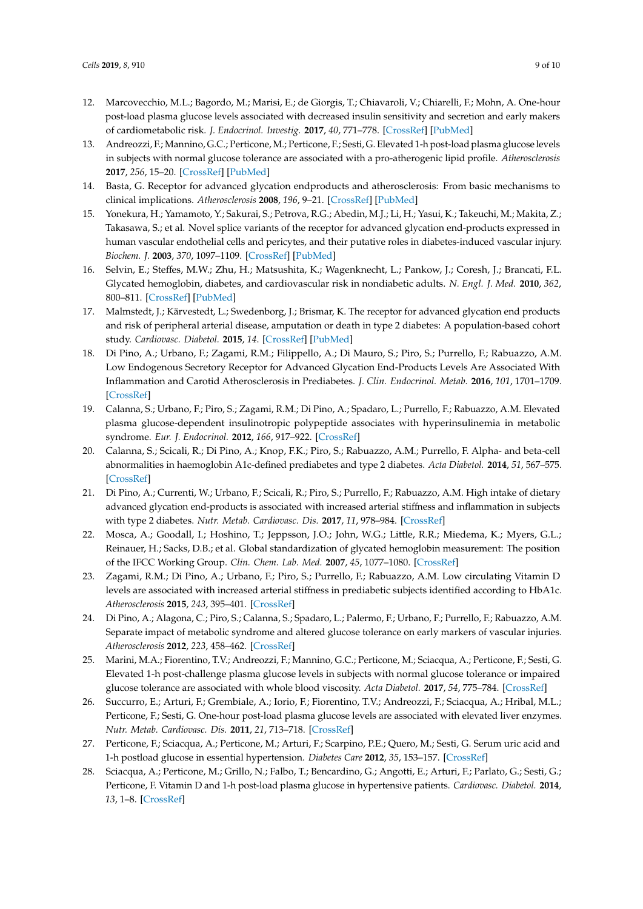- 12. Marcovecchio, M.L.; Bagordo, M.; Marisi, E.; de Giorgis, T.; Chiavaroli, V.; Chiarelli, F.; Mohn, A. One-hour post-load plasma glucose levels associated with decreased insulin sensitivity and secretion and early makers of cardiometabolic risk. *J. Endocrinol. Investig.* **2017**, *40*, 771–778. [\[CrossRef\]](http://dx.doi.org/10.1007/s40618-017-0638-6) [\[PubMed\]](http://www.ncbi.nlm.nih.gov/pubmed/28255821)
- <span id="page-8-0"></span>13. Andreozzi, F.; Mannino, G.C.; Perticone,M.; Perticone, F.; Sesti, G. Elevated 1-h post-load plasma glucose levels in subjects with normal glucose tolerance are associated with a pro-atherogenic lipid profile. *Atherosclerosis* **2017**, *256*, 15–20. [\[CrossRef\]](http://dx.doi.org/10.1016/j.atherosclerosis.2016.11.020) [\[PubMed\]](http://www.ncbi.nlm.nih.gov/pubmed/27940375)
- <span id="page-8-1"></span>14. Basta, G. Receptor for advanced glycation endproducts and atherosclerosis: From basic mechanisms to clinical implications. *Atherosclerosis* **2008**, *196*, 9–21. [\[CrossRef\]](http://dx.doi.org/10.1016/j.atherosclerosis.2007.07.025) [\[PubMed\]](http://www.ncbi.nlm.nih.gov/pubmed/17826783)
- <span id="page-8-2"></span>15. Yonekura, H.; Yamamoto, Y.; Sakurai, S.; Petrova, R.G.; Abedin, M.J.; Li, H.; Yasui, K.; Takeuchi, M.; Makita, Z.; Takasawa, S.; et al. Novel splice variants of the receptor for advanced glycation end-products expressed in human vascular endothelial cells and pericytes, and their putative roles in diabetes-induced vascular injury. *Biochem. J.* **2003**, *370*, 1097–1109. [\[CrossRef\]](http://dx.doi.org/10.1042/bj20021371) [\[PubMed\]](http://www.ncbi.nlm.nih.gov/pubmed/12495433)
- <span id="page-8-3"></span>16. Selvin, E.; Steffes, M.W.; Zhu, H.; Matsushita, K.; Wagenknecht, L.; Pankow, J.; Coresh, J.; Brancati, F.L. Glycated hemoglobin, diabetes, and cardiovascular risk in nondiabetic adults. *N. Engl. J. Med.* **2010**, *362*, 800–811. [\[CrossRef\]](http://dx.doi.org/10.1056/NEJMoa0908359) [\[PubMed\]](http://www.ncbi.nlm.nih.gov/pubmed/20200384)
- <span id="page-8-4"></span>17. Malmstedt, J.; Kärvestedt, L.; Swedenborg, J.; Brismar, K. The receptor for advanced glycation end products and risk of peripheral arterial disease, amputation or death in type 2 diabetes: A population-based cohort study. *Cardiovasc. Diabetol.* **2015**, *14*. [\[CrossRef\]](http://dx.doi.org/10.1186/s12933-015-0257-5) [\[PubMed\]](http://www.ncbi.nlm.nih.gov/pubmed/26216409)
- <span id="page-8-5"></span>18. Di Pino, A.; Urbano, F.; Zagami, R.M.; Filippello, A.; Di Mauro, S.; Piro, S.; Purrello, F.; Rabuazzo, A.M. Low Endogenous Secretory Receptor for Advanced Glycation End-Products Levels Are Associated With Inflammation and Carotid Atherosclerosis in Prediabetes. *J. Clin. Endocrinol. Metab.* **2016**, *101*, 1701–1709. [\[CrossRef\]](http://dx.doi.org/10.1210/jc.2015-4069)
- <span id="page-8-6"></span>19. Calanna, S.; Urbano, F.; Piro, S.; Zagami, R.M.; Di Pino, A.; Spadaro, L.; Purrello, F.; Rabuazzo, A.M. Elevated plasma glucose-dependent insulinotropic polypeptide associates with hyperinsulinemia in metabolic syndrome. *Eur. J. Endocrinol.* **2012**, *166*, 917–922. [\[CrossRef\]](http://dx.doi.org/10.1530/EJE-11-0765)
- <span id="page-8-7"></span>20. Calanna, S.; Scicali, R.; Di Pino, A.; Knop, F.K.; Piro, S.; Rabuazzo, A.M.; Purrello, F. Alpha- and beta-cell abnormalities in haemoglobin A1c-defined prediabetes and type 2 diabetes. *Acta Diabetol.* **2014**, *51*, 567–575. [\[CrossRef\]](http://dx.doi.org/10.1007/s00592-014-0555-5)
- <span id="page-8-8"></span>21. Di Pino, A.; Currenti, W.; Urbano, F.; Scicali, R.; Piro, S.; Purrello, F.; Rabuazzo, A.M. High intake of dietary advanced glycation end-products is associated with increased arterial stiffness and inflammation in subjects with type 2 diabetes. *Nutr. Metab. Cardiovasc. Dis.* **2017**, *11*, 978–984. [\[CrossRef\]](http://dx.doi.org/10.1016/j.numecd.2017.06.014)
- <span id="page-8-9"></span>22. Mosca, A.; Goodall, I.; Hoshino, T.; Jeppsson, J.O.; John, W.G.; Little, R.R.; Miedema, K.; Myers, G.L.; Reinauer, H.; Sacks, D.B.; et al. Global standardization of glycated hemoglobin measurement: The position of the IFCC Working Group. *Clin. Chem. Lab. Med.* **2007**, *45*, 1077–1080. [\[CrossRef\]](http://dx.doi.org/10.1515/CCLM.2007.246)
- <span id="page-8-10"></span>23. Zagami, R.M.; Di Pino, A.; Urbano, F.; Piro, S.; Purrello, F.; Rabuazzo, A.M. Low circulating Vitamin D levels are associated with increased arterial stiffness in prediabetic subjects identified according to HbA1c. *Atherosclerosis* **2015**, *243*, 395–401. [\[CrossRef\]](http://dx.doi.org/10.1016/j.atherosclerosis.2015.09.038)
- <span id="page-8-11"></span>24. Di Pino, A.; Alagona, C.; Piro, S.; Calanna, S.; Spadaro, L.; Palermo, F.; Urbano, F.; Purrello, F.; Rabuazzo, A.M. Separate impact of metabolic syndrome and altered glucose tolerance on early markers of vascular injuries. *Atherosclerosis* **2012**, *223*, 458–462. [\[CrossRef\]](http://dx.doi.org/10.1016/j.atherosclerosis.2012.05.008)
- <span id="page-8-12"></span>25. Marini, M.A.; Fiorentino, T.V.; Andreozzi, F.; Mannino, G.C.; Perticone, M.; Sciacqua, A.; Perticone, F.; Sesti, G. Elevated 1-h post-challenge plasma glucose levels in subjects with normal glucose tolerance or impaired glucose tolerance are associated with whole blood viscosity. *Acta Diabetol.* **2017**, *54*, 775–784. [\[CrossRef\]](http://dx.doi.org/10.1007/s00592-017-1004-z)
- 26. Succurro, E.; Arturi, F.; Grembiale, A.; Iorio, F.; Fiorentino, T.V.; Andreozzi, F.; Sciacqua, A.; Hribal, M.L.; Perticone, F.; Sesti, G. One-hour post-load plasma glucose levels are associated with elevated liver enzymes. *Nutr. Metab. Cardiovasc. Dis.* **2011**, *21*, 713–718. [\[CrossRef\]](http://dx.doi.org/10.1016/j.numecd.2011.02.002)
- 27. Perticone, F.; Sciacqua, A.; Perticone, M.; Arturi, F.; Scarpino, P.E.; Quero, M.; Sesti, G. Serum uric acid and 1-h postload glucose in essential hypertension. *Diabetes Care* **2012**, *35*, 153–157. [\[CrossRef\]](http://dx.doi.org/10.2337/dc11-1727)
- <span id="page-8-13"></span>28. Sciacqua, A.; Perticone, M.; Grillo, N.; Falbo, T.; Bencardino, G.; Angotti, E.; Arturi, F.; Parlato, G.; Sesti, G.; Perticone, F. Vitamin D and 1-h post-load plasma glucose in hypertensive patients. *Cardiovasc. Diabetol.* **2014**, *13*, 1–8. [\[CrossRef\]](http://dx.doi.org/10.1186/1475-2840-13-48)